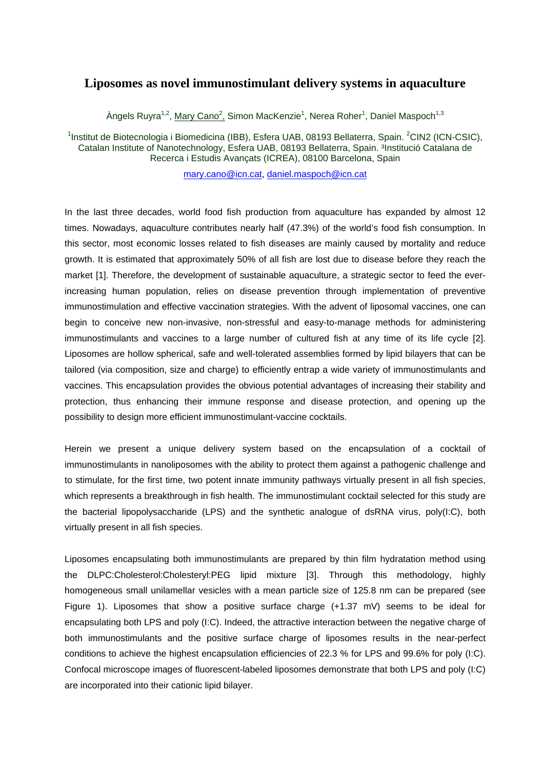## **Liposomes as novel immunostimulant delivery systems in aquaculture**

Àngels Ruyra<sup>1,2</sup>, <u>Mary Cano<sup>2</sup>,</u> Simon MacKenzie<sup>1</sup>, Nerea Roher<sup>1</sup>, Daniel Maspoch<sup>1,3</sup>

<sup>1</sup>Institut de Biotecnologia i Biomedicina (IBB), Esfera UAB, 08193 Bellaterra, Spain. <sup>2</sup>CIN2 (ICN-CSIC), Catalan Institute of Nanotechnology, Esfera UAB, 08193 Bellaterra, Spain. <sup>3</sup>Institució Catalana de Recerca i Estudis Avançats (ICREA), 08100 Barcelona, Spain

mary.cano@icn.cat, daniel.maspoch@icn.cat

In the last three decades, world food fish production from aquaculture has expanded by almost 12 times. Nowadays, aquaculture contributes nearly half (47.3%) of the world's food fish consumption. In this sector, most economic losses related to fish diseases are mainly caused by mortality and reduce growth. It is estimated that approximately 50% of all fish are lost due to disease before they reach the market [1]. Therefore, the development of sustainable aquaculture, a strategic sector to feed the everincreasing human population, relies on disease prevention through implementation of preventive immunostimulation and effective vaccination strategies. With the advent of liposomal vaccines, one can begin to conceive new non-invasive, non-stressful and easy-to-manage methods for administering immunostimulants and vaccines to a large number of cultured fish at any time of its life cycle [2]. Liposomes are hollow spherical, safe and well-tolerated assemblies formed by lipid bilayers that can be tailored (via composition, size and charge) to efficiently entrap a wide variety of immunostimulants and vaccines. This encapsulation provides the obvious potential advantages of increasing their stability and protection, thus enhancing their immune response and disease protection, and opening up the possibility to design more efficient immunostimulant-vaccine cocktails.

Herein we present a unique delivery system based on the encapsulation of a cocktail of immunostimulants in nanoliposomes with the ability to protect them against a pathogenic challenge and to stimulate, for the first time, two potent innate immunity pathways virtually present in all fish species, which represents a breakthrough in fish health. The immunostimulant cocktail selected for this study are the bacterial lipopolysaccharide (LPS) and the synthetic analogue of dsRNA virus, poly(I:C), both virtually present in all fish species.

Liposomes encapsulating both immunostimulants are prepared by thin film hydratation method using the DLPC:Cholesterol:Cholesteryl:PEG lipid mixture [3]. Through this methodology, highly homogeneous small unilamellar vesicles with a mean particle size of 125.8 nm can be prepared (see Figure 1). Liposomes that show a positive surface charge  $(+1.37 \text{ mV})$  seems to be ideal for encapsulating both LPS and poly (I:C). Indeed, the attractive interaction between the negative charge of both immunostimulants and the positive surface charge of liposomes results in the near-perfect conditions to achieve the highest encapsulation efficiencies of 22.3 % for LPS and 99.6% for poly (I:C). Confocal microscope images of fluorescent-labeled liposomes demonstrate that both LPS and poly (I:C) are incorporated into their cationic lipid bilayer.